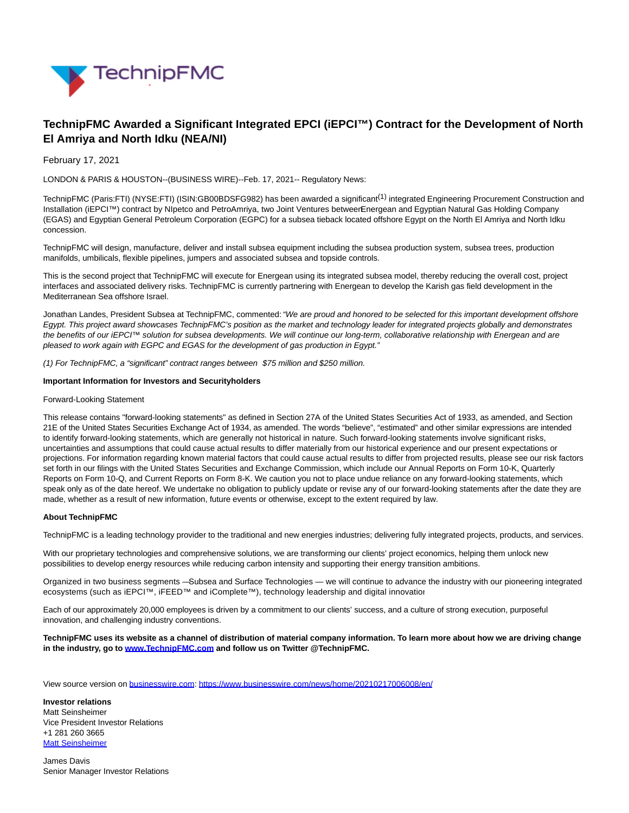

## **TechnipFMC Awarded a Significant Integrated EPCI (iEPCI™) Contract for the Development of North El Amriya and North Idku (NEA/NI)**

February 17, 2021

LONDON & PARIS & HOUSTON--(BUSINESS WIRE)--Feb. 17, 2021-- Regulatory News:

TechnipFMC (Paris:FTI) (NYSE:FTI) (ISIN:GB00BDSFG982) has been awarded a significant<sup>(1)</sup> integrated Engineering Procurement Construction and Installation (iEPCI™) contract by NIpetco and PetroAmriya, two Joint Ventures betweerEnergean and Egyptian Natural Gas Holding Company (EGAS) and Egyptian General Petroleum Corporation (EGPC) for a subsea tieback located offshore Egypt on the North El Amriya and North Idku concession.

TechnipFMC will design, manufacture, deliver and install subsea equipment including the subsea production system, subsea trees, production manifolds, umbilicals, flexible pipelines, jumpers and associated subsea and topside controls.

This is the second project that TechnipFMC will execute for Energean using its integrated subsea model, thereby reducing the overall cost, project interfaces and associated delivery risks. TechnipFMC is currently partnering with Energean to develop the Karish gas field development in the Mediterranean Sea offshore Israel.

Jonathan Landes, President Subsea at TechnipFMC, commented: "We are proud and honored to be selected for this important development offshore Egypt. This project award showcases TechnipFMC's position as the market and technology leader for integrated projects globally and demonstrates the benefits of our iEPCI™ solution for subsea developments. We will continue our long-term, collaborative relationship with Energean and are pleased to work again with EGPC and EGAS for the development of gas production in Egypt."

(1) For TechnipFMC, a "significant" contract ranges between \$75 million and \$250 million.

## **Important Information for Investors and Securityholders**

## Forward-Looking Statement

This release contains "forward-looking statements" as defined in Section 27A of the United States Securities Act of 1933, as amended, and Section 21E of the United States Securities Exchange Act of 1934, as amended. The words "believe", "estimated" and other similar expressions are intended to identify forward-looking statements, which are generally not historical in nature. Such forward-looking statements involve significant risks, uncertainties and assumptions that could cause actual results to differ materially from our historical experience and our present expectations or projections. For information regarding known material factors that could cause actual results to differ from projected results, please see our risk factors set forth in our filings with the United States Securities and Exchange Commission, which include our Annual Reports on Form 10-K, Quarterly Reports on Form 10-Q, and Current Reports on Form 8-K. We caution you not to place undue reliance on any forward-looking statements, which speak only as of the date hereof. We undertake no obligation to publicly update or revise any of our forward-looking statements after the date they are made, whether as a result of new information, future events or otherwise, except to the extent required by law.

## **About TechnipFMC**

TechnipFMC is a leading technology provider to the traditional and new energies industries; delivering fully integrated projects, products, and services.

With our proprietary technologies and comprehensive solutions, we are transforming our clients' project economics, helping them unlock new possibilities to develop energy resources while reducing carbon intensity and supporting their energy transition ambitions.

Organized in two business segments — Subsea and Surface Technologies — we will continue to advance the industry with our pioneering integrated ecosystems (such as iEPCI™, iFEED™ and iComplete™), technology leadership and digital innovation

Each of our approximately 20,000 employees is driven by a commitment to our clients' success, and a culture of strong execution, purposeful innovation, and challenging industry conventions.

**TechnipFMC uses its website as a channel of distribution of material company information. To learn more about how we are driving change in the industry, go to [www.TechnipFMC.com a](https://cts.businesswire.com/ct/CT?id=smartlink&url=http%3A%2F%2Fwww.technipfmc.com%2F&esheet=52380972&newsitemid=20210217006008&lan=en-US&anchor=www.TechnipFMC.com&index=1&md5=4bf5bf361f8c78a307eecb3947af6e9c)nd follow us on Twitter @TechnipFMC.**

View source version on [businesswire.com:](http://businesswire.com/)<https://www.businesswire.com/news/home/20210217006008/en/>

**Investor relations** Matt Seinsheimer Vice President Investor Relations +1 281 260 3665 [Matt Seinsheimer](mailto:InvestorRelations@TechnipFMC.com)

James Davis Senior Manager Investor Relations